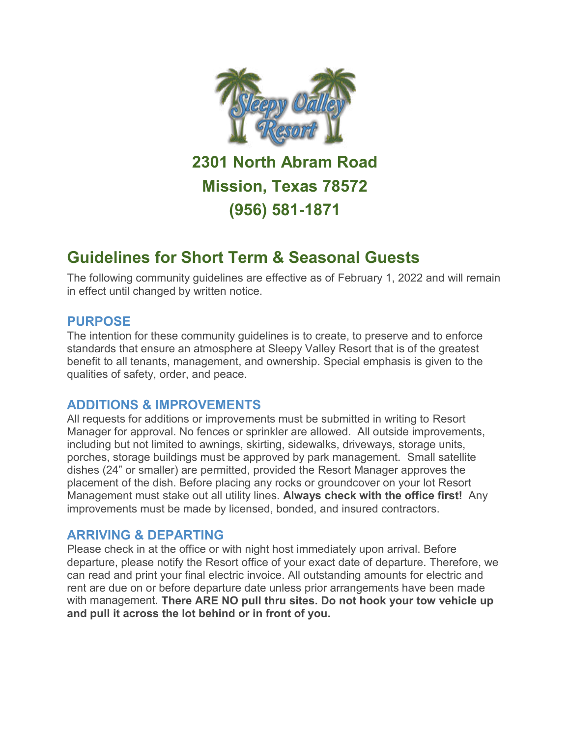

**2301 North Abram Road Mission, Texas 78572 (956) 581-1871**

# **Guidelines for Short Term & Seasonal Guests**

The following community guidelines are effective as of February 1, 2022 and will remain in effect until changed by written notice.

#### **PURPOSE**

The intention for these community guidelines is to create, to preserve and to enforce standards that ensure an atmosphere at Sleepy Valley Resort that is of the greatest benefit to all tenants, management, and ownership. Special emphasis is given to the qualities of safety, order, and peace.

## **ADDITIONS & IMPROVEMENTS**

All requests for additions or improvements must be submitted in writing to Resort Manager for approval. No fences or sprinkler are allowed. All outside improvements, including but not limited to awnings, skirting, sidewalks, driveways, storage units, porches, storage buildings must be approved by park management. Small satellite dishes (24" or smaller) are permitted, provided the Resort Manager approves the placement of the dish. Before placing any rocks or groundcover on your lot Resort Management must stake out all utility lines. **Always check with the office first!** Any improvements must be made by licensed, bonded, and insured contractors.

## **ARRIVING & DEPARTING**

Please check in at the office or with night host immediately upon arrival. Before departure, please notify the Resort office of your exact date of departure. Therefore, we can read and print your final electric invoice. All outstanding amounts for electric and rent are due on or before departure date unless prior arrangements have been made with management. **There ARE NO pull thru sites. Do not hook your tow vehicle up and pull it across the lot behind or in front of you.**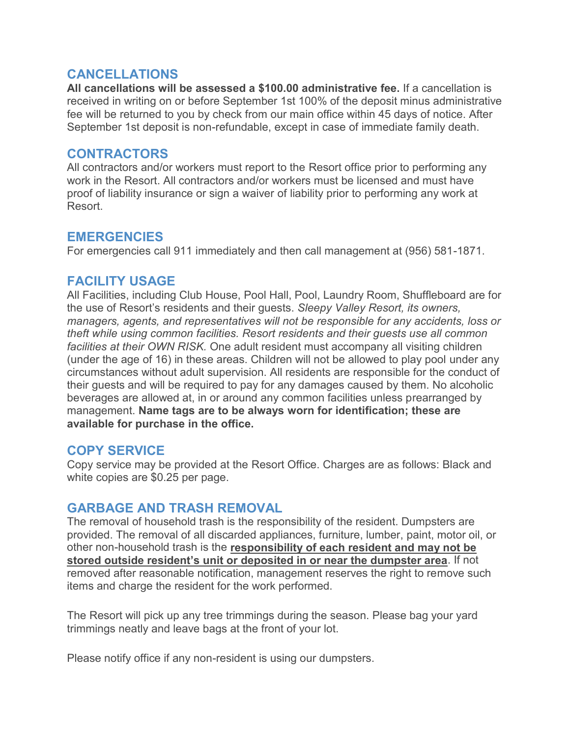#### **CANCELLATIONS**

**All cancellations will be assessed a \$100.00 administrative fee.** If a cancellation is received in writing on or before September 1st 100% of the deposit minus administrative fee will be returned to you by check from our main office within 45 days of notice. After September 1st deposit is non-refundable, except in case of immediate family death.

#### **CONTRACTORS**

All contractors and/or workers must report to the Resort office prior to performing any work in the Resort. All contractors and/or workers must be licensed and must have proof of liability insurance or sign a waiver of liability prior to performing any work at Resort.

## **EMERGENCIES**

For emergencies call 911 immediately and then call management at (956) 581-1871.

## **FACILITY USAGE**

All Facilities, including Club House, Pool Hall, Pool, Laundry Room, Shuffleboard are for the use of Resort's residents and their guests. *Sleepy Valley Resort, its owners, managers, agents, and representatives will not be responsible for any accidents, loss or theft while using common facilities. Resort residents and their guests use all common facilities at their OWN RISK.* One adult resident must accompany all visiting children (under the age of 16) in these areas. Children will not be allowed to play pool under any circumstances without adult supervision. All residents are responsible for the conduct of their guests and will be required to pay for any damages caused by them. No alcoholic beverages are allowed at, in or around any common facilities unless prearranged by management. **Name tags are to be always worn for identification; these are available for purchase in the office.** 

## **COPY SERVICE**

Copy service may be provided at the Resort Office. Charges are as follows: Black and white copies are \$0.25 per page.

## **GARBAGE AND TRASH REMOVAL**

The removal of household trash is the responsibility of the resident. Dumpsters are provided. The removal of all discarded appliances, furniture, lumber, paint, motor oil, or other non-household trash is the **responsibility of each resident and may not be stored outside resident's unit or deposited in or near the dumpster area**. If not removed after reasonable notification, management reserves the right to remove such items and charge the resident for the work performed.

The Resort will pick up any tree trimmings during the season. Please bag your yard trimmings neatly and leave bags at the front of your lot.

Please notify office if any non-resident is using our dumpsters.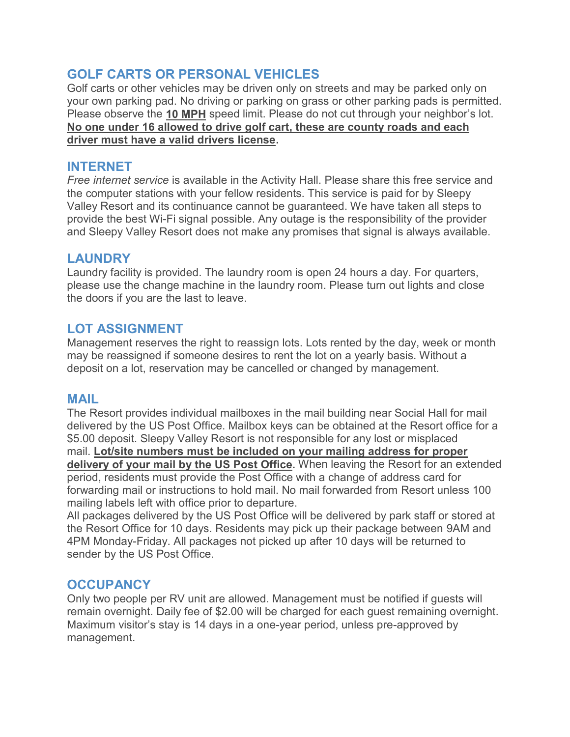# **GOLF CARTS OR PERSONAL VEHICLES**

Golf carts or other vehicles may be driven only on streets and may be parked only on your own parking pad. No driving or parking on grass or other parking pads is permitted. Please observe the **10 MPH** speed limit. Please do not cut through your neighbor's lot. **No one under 16 allowed to drive golf cart, these are county roads and each driver must have a valid drivers license.**

## **INTERNET**

*Free internet service* is available in the Activity Hall. Please share this free service and the computer stations with your fellow residents. This service is paid for by Sleepy Valley Resort and its continuance cannot be guaranteed. We have taken all steps to provide the best Wi-Fi signal possible. Any outage is the responsibility of the provider and Sleepy Valley Resort does not make any promises that signal is always available.

# **LAUNDRY**

Laundry facility is provided. The laundry room is open 24 hours a day. For quarters, please use the change machine in the laundry room. Please turn out lights and close the doors if you are the last to leave.

# **LOT ASSIGNMENT**

Management reserves the right to reassign lots. Lots rented by the day, week or month may be reassigned if someone desires to rent the lot on a yearly basis. Without a deposit on a lot, reservation may be cancelled or changed by management.

## **MAIL**

The Resort provides individual mailboxes in the mail building near Social Hall for mail delivered by the US Post Office. Mailbox keys can be obtained at the Resort office for a \$5.00 deposit. Sleepy Valley Resort is not responsible for any lost or misplaced mail. **Lot/site numbers must be included on your mailing address for proper delivery of your mail by the US Post Office.** When leaving the Resort for an extended period, residents must provide the Post Office with a change of address card for forwarding mail or instructions to hold mail. No mail forwarded from Resort unless 100 mailing labels left with office prior to departure.

All packages delivered by the US Post Office will be delivered by park staff or stored at the Resort Office for 10 days. Residents may pick up their package between 9AM and 4PM Monday-Friday. All packages not picked up after 10 days will be returned to sender by the US Post Office.

## **OCCUPANCY**

Only two people per RV unit are allowed. Management must be notified if guests will remain overnight. Daily fee of \$2.00 will be charged for each guest remaining overnight. Maximum visitor's stay is 14 days in a one-year period, unless pre-approved by management.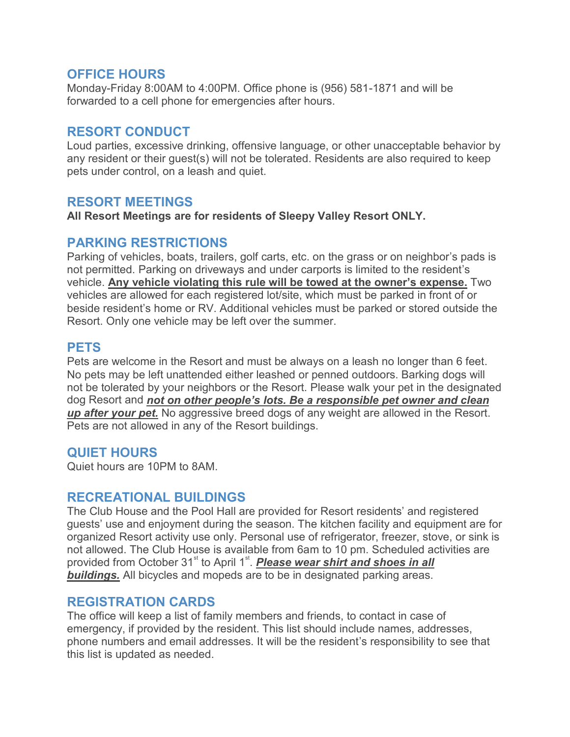## **OFFICE HOURS**

Monday-Friday 8:00AM to 4:00PM. Office phone is (956) 581-1871 and will be forwarded to a cell phone for emergencies after hours.

## **RESORT CONDUCT**

Loud parties, excessive drinking, offensive language, or other unacceptable behavior by any resident or their guest(s) will not be tolerated. Residents are also required to keep pets under control, on a leash and quiet.

## **RESORT MEETINGS**

**All Resort Meetings are for residents of Sleepy Valley Resort ONLY.** 

#### **PARKING RESTRICTIONS**

Parking of vehicles, boats, trailers, golf carts, etc. on the grass or on neighbor's pads is not permitted. Parking on driveways and under carports is limited to the resident's vehicle. **Any vehicle violating this rule will be towed at the owner's expense.** Two vehicles are allowed for each registered lot/site, which must be parked in front of or beside resident's home or RV. Additional vehicles must be parked or stored outside the Resort. Only one vehicle may be left over the summer.

## **PETS**

Pets are welcome in the Resort and must be always on a leash no longer than 6 feet. No pets may be left unattended either leashed or penned outdoors. Barking dogs will not be tolerated by your neighbors or the Resort. Please walk your pet in the designated dog Resort and *not on other people's lots. Be a responsible pet owner and clean up after your pet.* No aggressive breed dogs of any weight are allowed in the Resort. Pets are not allowed in any of the Resort buildings.

## **QUIET HOURS**

Quiet hours are 10PM to 8AM.

#### **RECREATIONAL BUILDINGS**

The Club House and the Pool Hall are provided for Resort residents' and registered guests' use and enjoyment during the season. The kitchen facility and equipment are for organized Resort activity use only. Personal use of refrigerator, freezer, stove, or sink is not allowed. The Club House is available from 6am to 10 pm. Scheduled activities are provided from October 31<sup>st</sup> to April 1<sup>st</sup>. *Please wear shirt and shoes in all buildings.* All bicycles and mopeds are to be in designated parking areas.

#### **REGISTRATION CARDS**

The office will keep a list of family members and friends, to contact in case of emergency, if provided by the resident. This list should include names, addresses, phone numbers and email addresses. It will be the resident's responsibility to see that this list is updated as needed.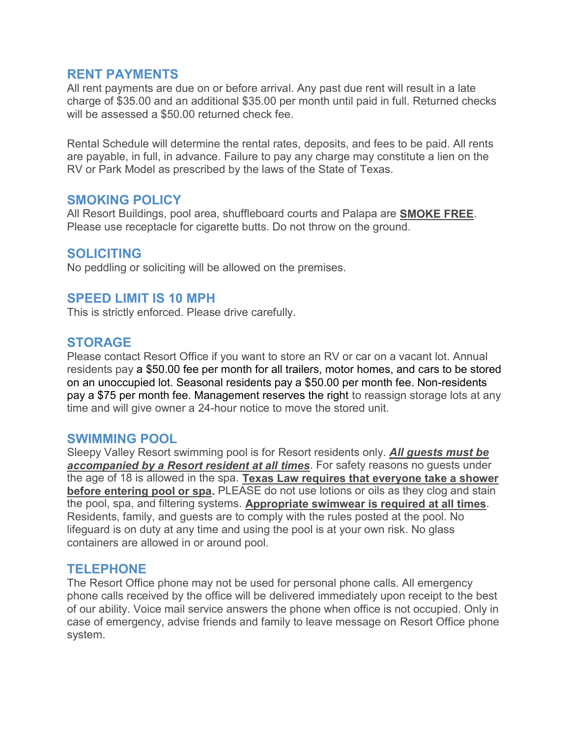#### **RENT PAYMENTS**

All rent payments are due on or before arrival. Any past due rent will result in a late charge of \$35.00 and an additional \$35.00 per month until paid in full. Returned checks will be assessed a \$50.00 returned check fee.

Rental Schedule will determine the rental rates, deposits, and fees to be paid. All rents are payable, in full, in advance. Failure to pay any charge may constitute a lien on the RV or Park Model as prescribed by the laws of the State of Texas.

#### **SMOKING POLICY**

All Resort Buildings, pool area, shuffleboard courts and Palapa are **SMOKE FREE**. Please use receptacle for cigarette butts. Do not throw on the ground.

#### **SOLICITING**

No peddling or soliciting will be allowed on the premises.

#### **SPEED LIMIT IS 10 MPH**

This is strictly enforced. Please drive carefully.

#### **STORAGE**

Please contact Resort Office if you want to store an RV or car on a vacant lot. Annual residents pay a \$50.00 fee per month for all trailers, motor homes, and cars to be stored on an unoccupied lot. Seasonal residents pay a \$50.00 per month fee. Non-residents pay a \$75 per month fee. Management reserves the right to reassign storage lots at any time and will give owner a 24-hour notice to move the stored unit.

#### **SWIMMING POOL**

Sleepy Valley Resort swimming pool is for Resort residents only. *All guests must be accompanied by a Resort resident at all times*. For safety reasons no guests under the age of 18 is allowed in the spa. **Texas Law requires that everyone take a shower before entering pool or spa.** PLEASE do not use lotions or oils as they clog and stain the pool, spa, and filtering systems. **Appropriate swimwear is required at all times**. Residents, family, and guests are to comply with the rules posted at the pool. No lifeguard is on duty at any time and using the pool is at your own risk. No glass containers are allowed in or around pool.

#### **TELEPHONE**

The Resort Office phone may not be used for personal phone calls. All emergency phone calls received by the office will be delivered immediately upon receipt to the best of our ability. Voice mail service answers the phone when office is not occupied. Only in case of emergency, advise friends and family to leave message on Resort Office phone system.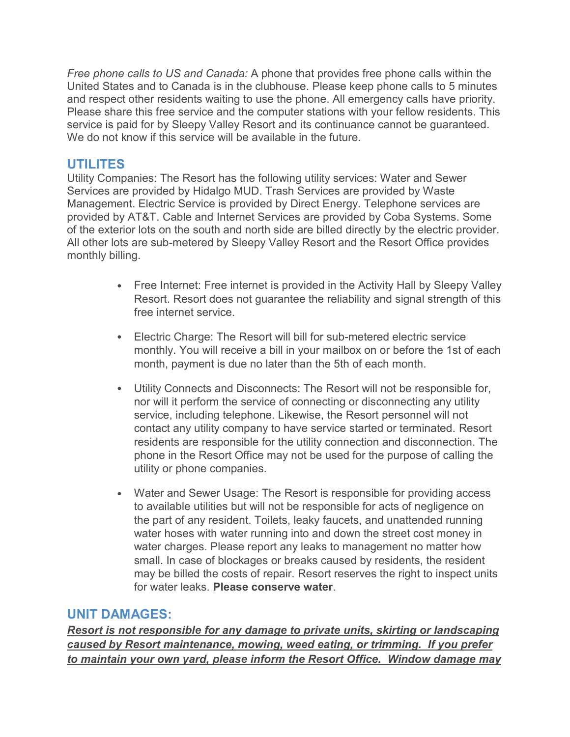*Free phone calls to US and Canada:* A phone that provides free phone calls within the United States and to Canada is in the clubhouse. Please keep phone calls to 5 minutes and respect other residents waiting to use the phone. All emergency calls have priority. Please share this free service and the computer stations with your fellow residents. This service is paid for by Sleepy Valley Resort and its continuance cannot be guaranteed. We do not know if this service will be available in the future.

# **UTILITES**

Utility Companies: The Resort has the following utility services: Water and Sewer Services are provided by Hidalgo MUD. Trash Services are provided by Waste Management. Electric Service is provided by Direct Energy. Telephone services are provided by AT&T. Cable and Internet Services are provided by Coba Systems. Some of the exterior lots on the south and north side are billed directly by the electric provider. All other lots are sub-metered by Sleepy Valley Resort and the Resort Office provides monthly billing.

- Free Internet: Free internet is provided in the Activity Hall by Sleepy Valley Resort. Resort does not guarantee the reliability and signal strength of this free internet service.
- Electric Charge: The Resort will bill for sub-metered electric service monthly. You will receive a bill in your mailbox on or before the 1st of each month, payment is due no later than the 5th of each month.
- Utility Connects and Disconnects: The Resort will not be responsible for, nor will it perform the service of connecting or disconnecting any utility service, including telephone. Likewise, the Resort personnel will not contact any utility company to have service started or terminated. Resort residents are responsible for the utility connection and disconnection. The phone in the Resort Office may not be used for the purpose of calling the utility or phone companies.
- Water and Sewer Usage: The Resort is responsible for providing access to available utilities but will not be responsible for acts of negligence on the part of any resident. Toilets, leaky faucets, and unattended running water hoses with water running into and down the street cost money in water charges. Please report any leaks to management no matter how small. In case of blockages or breaks caused by residents, the resident may be billed the costs of repair. Resort reserves the right to inspect units for water leaks. **Please conserve water**.

#### **UNIT DAMAGES:**

*Resort is not responsible for any damage to private units, skirting or landscaping caused by Resort maintenance, mowing, weed eating, or trimming. If you prefer to maintain your own yard, please inform the Resort Office. Window damage may*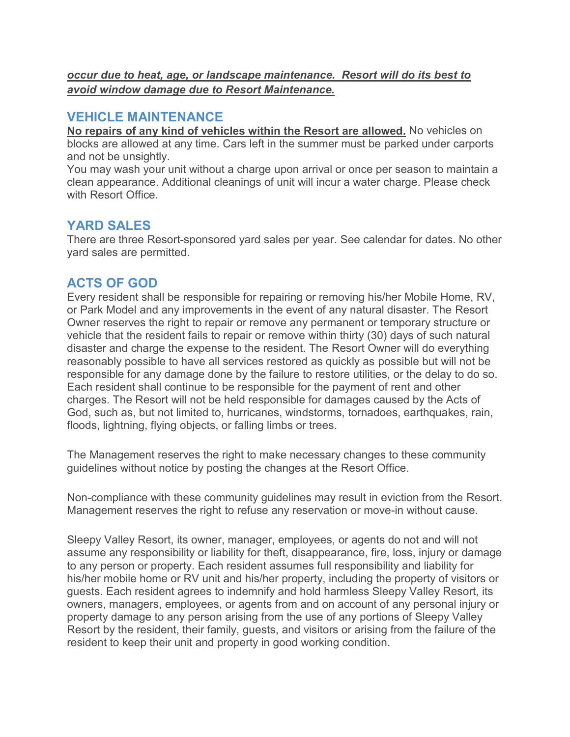*occur due to heat, age, or landscape maintenance. Resort will do its best to avoid window damage due to Resort Maintenance.* 

# **VEHICLE MAINTENANCE**

**No repairs of any kind of vehicles within the Resort are allowed.** No vehicles on blocks are allowed at any time. Cars left in the summer must be parked under carports and not be unsightly.

You may wash your unit without a charge upon arrival or once per season to maintain a clean appearance. Additional cleanings of unit will incur a water charge. Please check with Resort Office.

# **YARD SALES**

There are three Resort-sponsored yard sales per year. See calendar for dates. No other yard sales are permitted.

# **ACTS OF GOD**

Every resident shall be responsible for repairing or removing his/her Mobile Home, RV, or Park Model and any improvements in the event of any natural disaster. The Resort Owner reserves the right to repair or remove any permanent or temporary structure or vehicle that the resident fails to repair or remove within thirty (30) days of such natural disaster and charge the expense to the resident. The Resort Owner will do everything reasonably possible to have all services restored as quickly as possible but will not be responsible for any damage done by the failure to restore utilities, or the delay to do so. Each resident shall continue to be responsible for the payment of rent and other charges. The Resort will not be held responsible for damages caused by the Acts of God, such as, but not limited to, hurricanes, windstorms, tornadoes, earthquakes, rain, floods, lightning, flying objects, or falling limbs or trees.

The Management reserves the right to make necessary changes to these community guidelines without notice by posting the changes at the Resort Office.

Non-compliance with these community guidelines may result in eviction from the Resort. Management reserves the right to refuse any reservation or move-in without cause.

Sleepy Valley Resort, its owner, manager, employees, or agents do not and will not assume any responsibility or liability for theft, disappearance, fire, loss, injury or damage to any person or property. Each resident assumes full responsibility and liability for his/her mobile home or RV unit and his/her property, including the property of visitors or guests. Each resident agrees to indemnify and hold harmless Sleepy Valley Resort, its owners, managers, employees, or agents from and on account of any personal injury or property damage to any person arising from the use of any portions of Sleepy Valley Resort by the resident, their family, guests, and visitors or arising from the failure of the resident to keep their unit and property in good working condition.